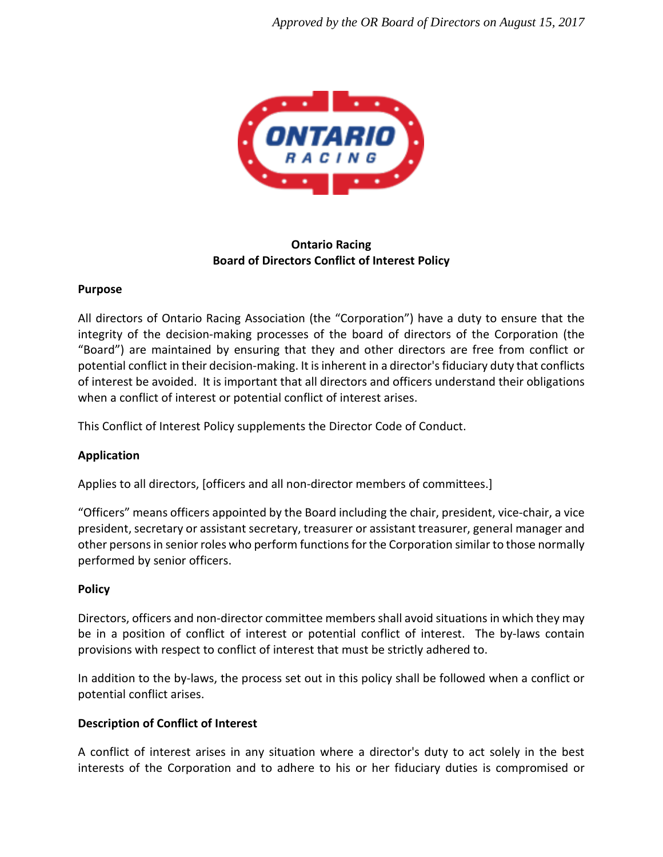

# **Ontario Racing Board of Directors Conflict of Interest Policy**

## **Purpose**

All directors of Ontario Racing Association (the "Corporation") have a duty to ensure that the integrity of the decision-making processes of the board of directors of the Corporation (the "Board") are maintained by ensuring that they and other directors are free from conflict or potential conflict in their decision-making. It is inherent in a director's fiduciary duty that conflicts of interest be avoided. It is important that all directors and officers understand their obligations when a conflict of interest or potential conflict of interest arises.

This Conflict of Interest Policy supplements the Director Code of Conduct.

# **Application**

Applies to all directors, [officers and all non-director members of committees.]

"Officers" means officers appointed by the Board including the chair, president, vice-chair, a vice president, secretary or assistant secretary, treasurer or assistant treasurer, general manager and other persons in senior roles who perform functions for the Corporation similar to those normally performed by senior officers.

## **Policy**

Directors, officers and non-director committee members shall avoid situations in which they may be in a position of conflict of interest or potential conflict of interest. The by-laws contain provisions with respect to conflict of interest that must be strictly adhered to.

In addition to the by-laws, the process set out in this policy shall be followed when a conflict or potential conflict arises.

# **Description of Conflict of Interest**

A conflict of interest arises in any situation where a director's duty to act solely in the best interests of the Corporation and to adhere to his or her fiduciary duties is compromised or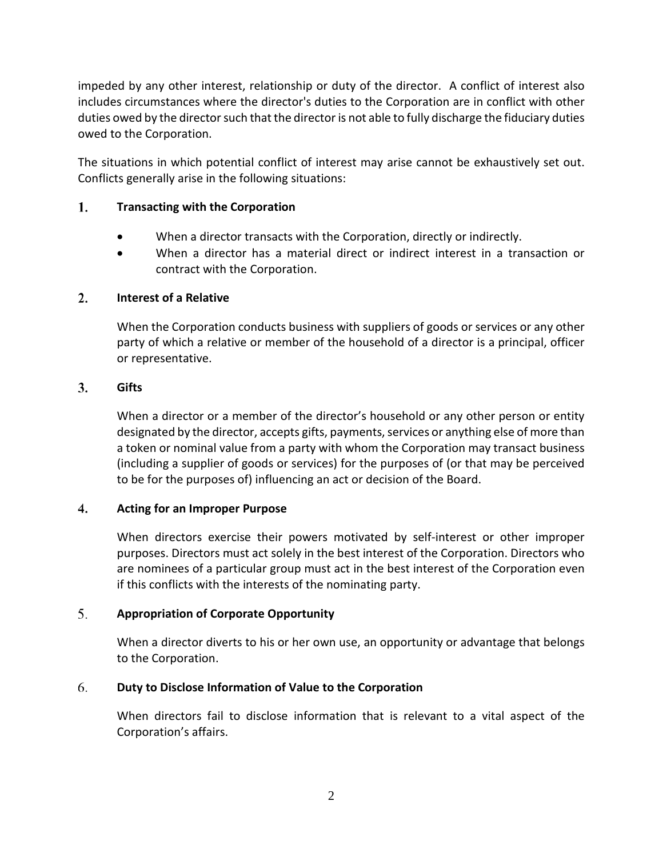impeded by any other interest, relationship or duty of the director. A conflict of interest also includes circumstances where the director's duties to the Corporation are in conflict with other duties owed by the director such that the director is not able to fully discharge the fiduciary duties owed to the Corporation.

The situations in which potential conflict of interest may arise cannot be exhaustively set out. Conflicts generally arise in the following situations:

#### 1. **Transacting with the Corporation**

- When a director transacts with the Corporation, directly or indirectly.
- When a director has a material direct or indirect interest in a transaction or contract with the Corporation.

#### $2.$ **Interest of a Relative**

When the Corporation conducts business with suppliers of goods or services or any other party of which a relative or member of the household of a director is a principal, officer or representative.

#### 3. **Gifts**

When a director or a member of the director's household or any other person or entity designated by the director, accepts gifts, payments, services or anything else of more than a token or nominal value from a party with whom the Corporation may transact business (including a supplier of goods or services) for the purposes of (or that may be perceived to be for the purposes of) influencing an act or decision of the Board.

#### 4. **Acting for an Improper Purpose**

When directors exercise their powers motivated by self-interest or other improper purposes. Directors must act solely in the best interest of the Corporation. Directors who are nominees of a particular group must act in the best interest of the Corporation even if this conflicts with the interests of the nominating party.

#### 5. **Appropriation of Corporate Opportunity**

When a director diverts to his or her own use, an opportunity or advantage that belongs to the Corporation.

#### 6. **Duty to Disclose Information of Value to the Corporation**

When directors fail to disclose information that is relevant to a vital aspect of the Corporation's affairs.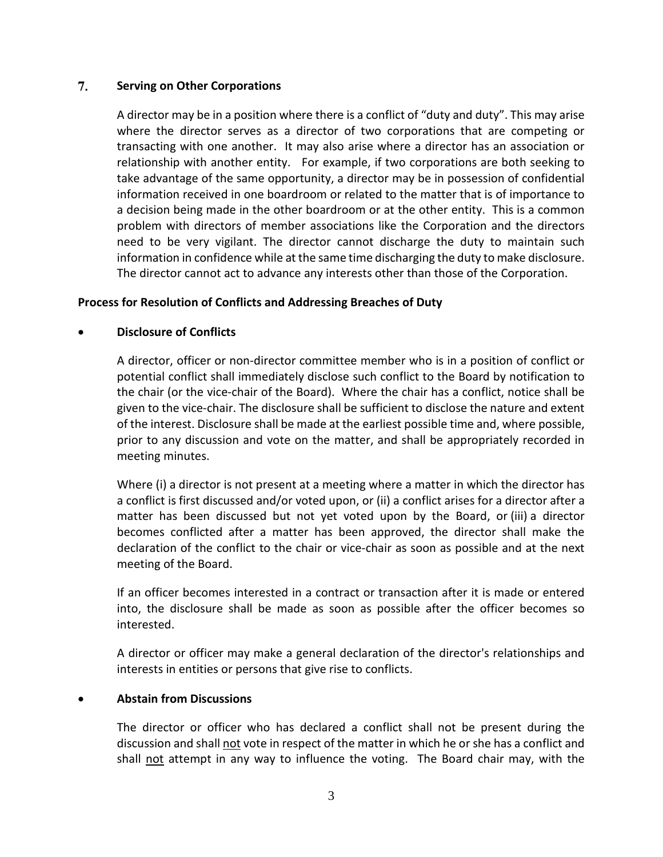#### 7. **Serving on Other Corporations**

A director may be in a position where there is a conflict of "duty and duty". This may arise where the director serves as a director of two corporations that are competing or transacting with one another. It may also arise where a director has an association or relationship with another entity. For example, if two corporations are both seeking to take advantage of the same opportunity, a director may be in possession of confidential information received in one boardroom or related to the matter that is of importance to a decision being made in the other boardroom or at the other entity. This is a common problem with directors of member associations like the Corporation and the directors need to be very vigilant. The director cannot discharge the duty to maintain such information in confidence while at the same time discharging the duty to make disclosure. The director cannot act to advance any interests other than those of the Corporation.

### **Process for Resolution of Conflicts and Addressing Breaches of Duty**

### • **Disclosure of Conflicts**

A director, officer or non-director committee member who is in a position of conflict or potential conflict shall immediately disclose such conflict to the Board by notification to the chair (or the vice-chair of the Board). Where the chair has a conflict, notice shall be given to the vice-chair. The disclosure shall be sufficient to disclose the nature and extent of the interest. Disclosure shall be made at the earliest possible time and, where possible, prior to any discussion and vote on the matter, and shall be appropriately recorded in meeting minutes.

Where (i) a director is not present at a meeting where a matter in which the director has a conflict is first discussed and/or voted upon, or (ii) a conflict arises for a director after a matter has been discussed but not yet voted upon by the Board, or (iii) a director becomes conflicted after a matter has been approved, the director shall make the declaration of the conflict to the chair or vice-chair as soon as possible and at the next meeting of the Board.

If an officer becomes interested in a contract or transaction after it is made or entered into, the disclosure shall be made as soon as possible after the officer becomes so interested.

A director or officer may make a general declaration of the director's relationships and interests in entities or persons that give rise to conflicts.

## • **Abstain from Discussions**

The director or officer who has declared a conflict shall not be present during the discussion and shall not vote in respect of the matter in which he or she has a conflict and shall not attempt in any way to influence the voting. The Board chair may, with the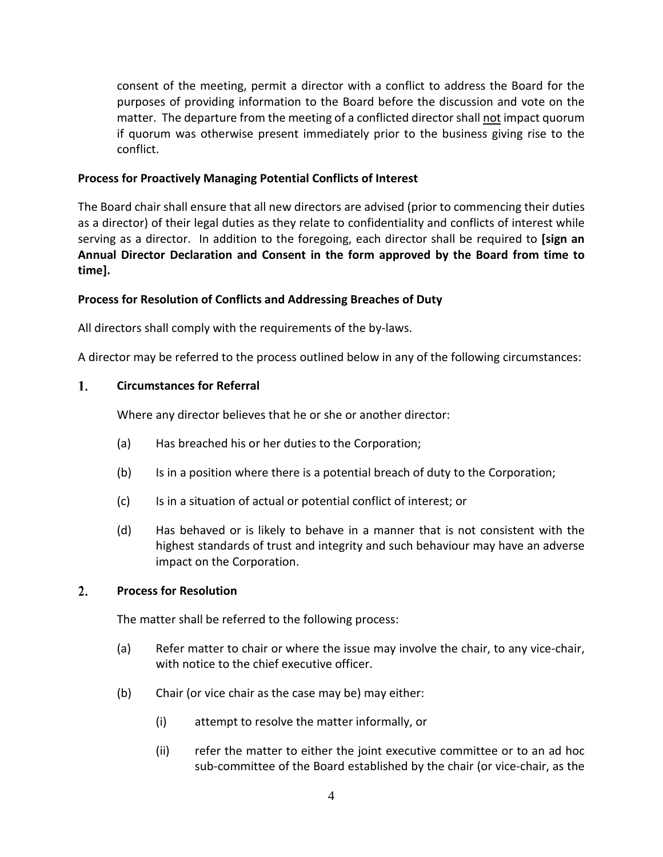consent of the meeting, permit a director with a conflict to address the Board for the purposes of providing information to the Board before the discussion and vote on the matter. The departure from the meeting of a conflicted director shall not impact quorum if quorum was otherwise present immediately prior to the business giving rise to the conflict.

### **Process for Proactively Managing Potential Conflicts of Interest**

The Board chair shall ensure that all new directors are advised (prior to commencing their duties as a director) of their legal duties as they relate to confidentiality and conflicts of interest while serving as a director. In addition to the foregoing, each director shall be required to **[sign an Annual Director Declaration and Consent in the form approved by the Board from time to time].**

## **Process for Resolution of Conflicts and Addressing Breaches of Duty**

All directors shall comply with the requirements of the by-laws.

A director may be referred to the process outlined below in any of the following circumstances:

#### 1. **Circumstances for Referral**

Where any director believes that he or she or another director:

- (a) Has breached his or her duties to the Corporation;
- (b) Is in a position where there is a potential breach of duty to the Corporation;
- (c) Is in a situation of actual or potential conflict of interest; or
- (d) Has behaved or is likely to behave in a manner that is not consistent with the highest standards of trust and integrity and such behaviour may have an adverse impact on the Corporation.

#### $2.$ **Process for Resolution**

The matter shall be referred to the following process:

- (a) Refer matter to chair or where the issue may involve the chair, to any vice-chair, with notice to the chief executive officer.
- (b) Chair (or vice chair as the case may be) may either:
	- (i) attempt to resolve the matter informally, or
	- (ii) refer the matter to either the joint executive committee or to an ad hoc sub-committee of the Board established by the chair (or vice-chair, as the